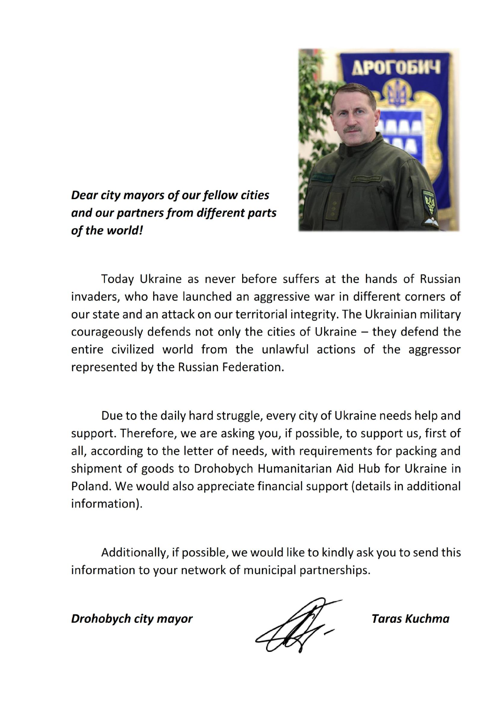

Dear city mayors of our fellow cities and our partners from different parts of the world!

Today Ukraine as never before suffers at the hands of Russian invaders, who have launched an aggressive war in different corners of our state and an attack on our territorial integrity. The Ukrainian military courageously defends not only the cities of Ukraine - they defend the entire civilized world from the unlawful actions of the aggressor represented by the Russian Federation.

Due to the daily hard struggle, every city of Ukraine needs help and support. Therefore, we are asking you, if possible, to support us, first of all, according to the letter of needs, with requirements for packing and shipment of goods to Drohobych Humanitarian Aid Hub for Ukraine in Poland. We would also appreciate financial support (details in additional information).

Additionally, if possible, we would like to kindly ask you to send this information to your network of municipal partnerships.

**Drohobych city mayor** 

**Taras Kuchma**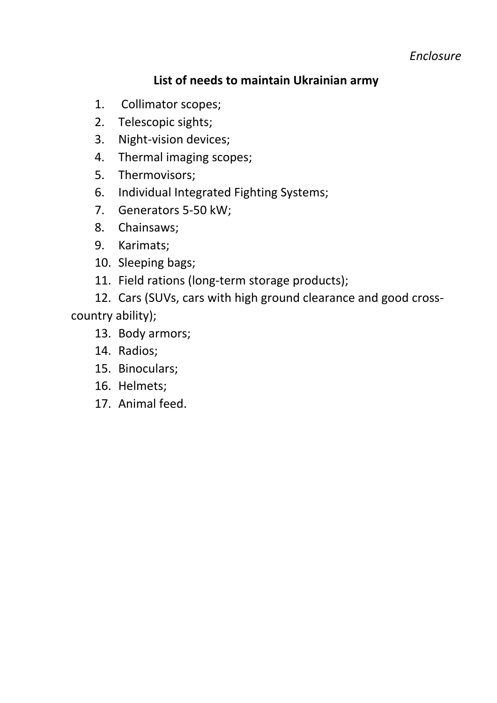*Enclosure*

### **List of needs to maintain Ukrainian army**

- 1. Collimator scopes;
- 2. Telescopic sights;
- 3. Night-vision devices;
- 4. Thermal imaging scopes;
- 5. Thermovisors;
- 6. Individual Integrated Fighting Systems;
- 7. Generators 5-50 kW;
- 8. Сhainsaws;
- 9. Karimats;
- 10. Sleeping bags;
- 11. Field rations (long-term storage products);
- 12. Cars (SUVs, cars with high ground clearance and good crosscountry ability);
	- 13. Body armors;
	- 14. Radios;
	- 15. Binoculars;
	- 16. Helmets;
	- 17. Animal feed.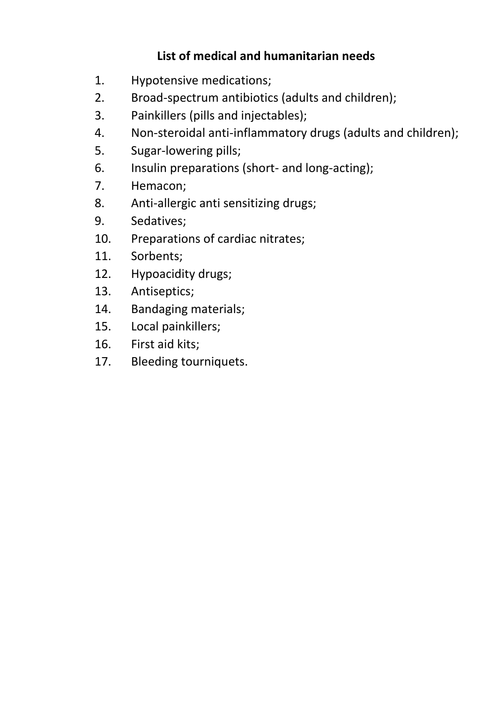# **List of medical and humanitarian needs**

- 1. Hypotensive medications;
- 2. Broad-spectrum antibiotics (adults and children);
- 3. Painkillers (pills and injectables);
- 4. Non-steroidal anti-inflammatory drugs (adults and children);
- 5. Sugar-lowering pills;
- 6. Insulin preparations (short- and long-acting);
- 7. Hemacon;
- 8. Anti-allergic anti sensitizing drugs;
- 9. Sedatives;
- 10. Preparations of cardiac nitrates;
- 11. Sorbents;
- 12. Hypoacidity drugs;
- 13. Antiseptics;
- 14. Bandaging materials;
- 15. Local painkillers;
- 16. First aid kits;
- 17. Bleeding tourniquets.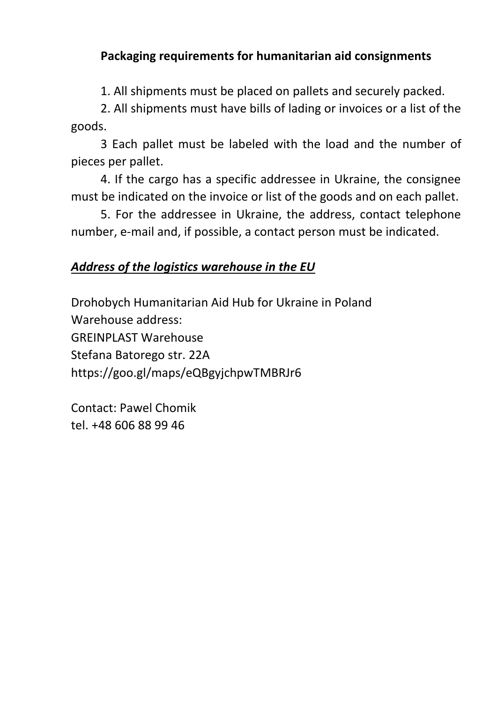## **Packaging requirements for humanitarian aid consignments**

1. All shipments must be placed on pallets and securely packed.

2. All shipments must have bills of lading or invoices or a list of the goods.

3 Each pallet must be labeled with the load and the number of pieces per pallet.

4. If the cargo has a specific addressee in Ukraine, the consignee must be indicated on the invoice or list of the goods and on each pallet.

5. For the addressee in Ukraine, the address, contact telephone number, e-mail and, if possible, a contact person must be indicated.

#### *Address of the logistics warehouse in the EU*

Drohobych Humanitarian Aid Hub for Ukraine in Poland Warehouse address: GREINPLAST Warehouse Stefana Batorego str. 22A https://goo.gl/maps/eQBgyjchpwTMBRJr6

Contact: Pawel Chomik tel. +48 606 88 99 46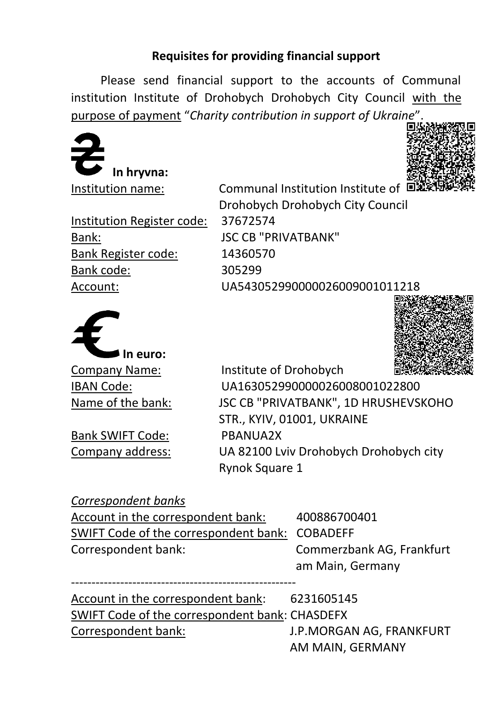### **Requisites for providing financial support**

Please send financial support to the accounts of Communal institution Institute of Drohobych Drohobych City Council with the purpose of payment "*Charity contribution in support of Ukraine*".





Institution Register code: 37672574 Bank: JSC CB "PRIVATBANK" Bank Register code: 14360570 Bank code: 305299

Institution name: Communal Institution Institute of ■ Drohobych Drohobych City Council Account: UA543052990000026009001011218



Bank SWIFT Code: PBANUA2X

Company Name: Institute of Drohobych IBAN Code: UA163052990000026008001022800 Name of the bank: JSC CB "PRIVATBANK", 1D HRUSHEVSKOHO STR., KYIV, 01001, UKRAINE Company address: UA 82100 Lviv Drohobych Drohobych city Rynok Square 1

### *Correspondent banks*

| Account in the correspondent bank:             | 400886700401              |
|------------------------------------------------|---------------------------|
| SWIFT Code of the correspondent bank: COBADEFF |                           |
| Correspondent bank:                            | Commerzbank AG, Frankfurt |
|                                                | am Main, Germany          |

| Account in the correspondent bank:             | 6231605145               |
|------------------------------------------------|--------------------------|
| SWIFT Code of the correspondent bank: CHASDEFX |                          |
| Correspondent bank:                            | J.P.MORGAN AG, FRANKFURT |
|                                                | AM MAIN, GERMANY         |